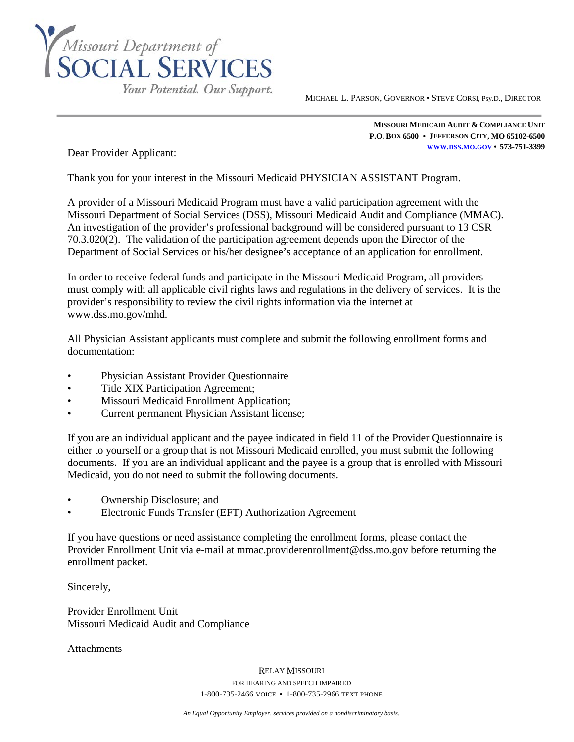

MICHAEL L. PARSON, GOVERNOR • STEVE CORSI, Psy.D., DIRECTOR

**MISSOURI MEDICAID AUDIT & COMPLIANCE UNIT P.O. BOX 6500 • JEFFERSON CITY, MO 65102-6500 [WWW.DSS.MO.GOV](http://www.dss.mo.gov/) • 573-751-3399**

Dear Provider Applicant:

Thank you for your interest in the Missouri Medicaid PHYSICIAN ASSISTANT Program.

l

A provider of a Missouri Medicaid Program must have a valid participation agreement with the Missouri Department of Social Services (DSS), Missouri Medicaid Audit and Compliance (MMAC). An investigation of the provider's professional background will be considered pursuant to 13 CSR 70.3.020(2). The validation of the participation agreement depends upon the Director of the Department of Social Services or his/her designee's acceptance of an application for enrollment.

In order to receive federal funds and participate in the Missouri Medicaid Program, all providers must comply with all applicable civil rights laws and regulations in the delivery of services. It is the provider's responsibility to review the civil rights information via the internet at www.dss.mo.gov/mhd.

All Physician Assistant applicants must complete and submit the following enrollment forms and documentation:

- Physician Assistant Provider Questionnaire
- Title XIX Participation Agreement;
- Missouri Medicaid Enrollment Application;
- Current permanent Physician Assistant license;

If you are an individual applicant and the payee indicated in field 11 of the Provider Questionnaire is either to yourself or a group that is not Missouri Medicaid enrolled, you must submit the following documents. If you are an individual applicant and the payee is a group that is enrolled with Missouri Medicaid, you do not need to submit the following documents.

- Ownership Disclosure; and
- Electronic Funds Transfer (EFT) Authorization Agreement

If you have questions or need assistance completing the enrollment forms, please contact the Provider Enrollment Unit via e-mail at mmac.providerenrollment@dss.mo.gov before returning the enrollment packet.

Sincerely,

Provider Enrollment Unit Missouri Medicaid Audit and Compliance

Attachments

RELAY MISSOURI FOR HEARING AND SPEECH IMPAIRED 1-800-735-2466 VOICE • 1-800-735-2966 TEXT PHONE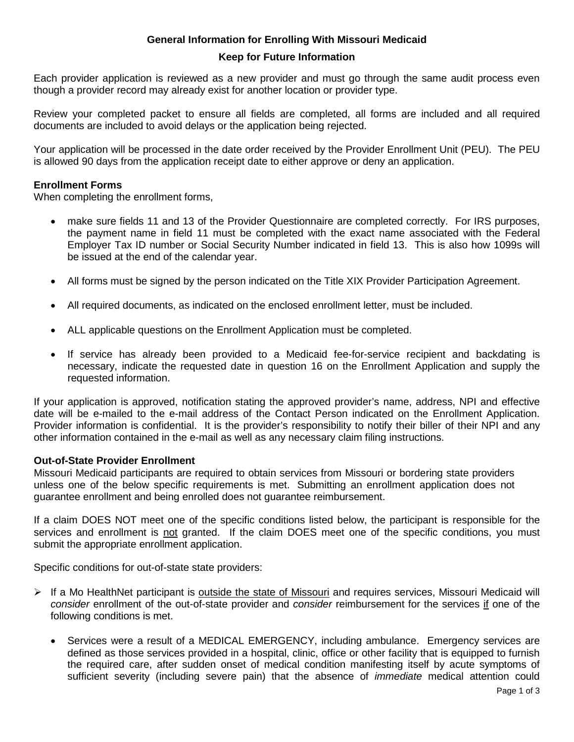## **General Information for Enrolling With Missouri Medicaid**

### **Keep for Future Information**

Each provider application is reviewed as a new provider and must go through the same audit process even though a provider record may already exist for another location or provider type.

Review your completed packet to ensure all fields are completed, all forms are included and all required documents are included to avoid delays or the application being rejected.

Your application will be processed in the date order received by the Provider Enrollment Unit (PEU). The PEU is allowed 90 days from the application receipt date to either approve or deny an application.

### **Enrollment Forms**

When completing the enrollment forms,

- make sure fields 11 and 13 of the Provider Questionnaire are completed correctly. For IRS purposes, the payment name in field 11 must be completed with the exact name associated with the Federal Employer Tax ID number or Social Security Number indicated in field 13. This is also how 1099s will be issued at the end of the calendar year.
- All forms must be signed by the person indicated on the Title XIX Provider Participation Agreement.
- All required documents, as indicated on the enclosed enrollment letter, must be included.
- ALL applicable questions on the Enrollment Application must be completed.
- If service has already been provided to a Medicaid fee-for-service recipient and backdating is necessary, indicate the requested date in question 16 on the Enrollment Application and supply the requested information.

If your application is approved, notification stating the approved provider's name, address, NPI and effective date will be e-mailed to the e-mail address of the Contact Person indicated on the Enrollment Application. Provider information is confidential. It is the provider's responsibility to notify their biller of their NPI and any other information contained in the e-mail as well as any necessary claim filing instructions.

### **Out-of-State Provider Enrollment**

Missouri Medicaid participants are required to obtain services from Missouri or bordering state providers unless one of the below specific requirements is met. Submitting an enrollment application does not guarantee enrollment and being enrolled does not guarantee reimbursement.

If a claim DOES NOT meet one of the specific conditions listed below, the participant is responsible for the services and enrollment is not granted. If the claim DOES meet one of the specific conditions, you must submit the appropriate enrollment application.

Specific conditions for out-of-state state providers:

- If a Mo HealthNet participant is outside the state of Missouri and requires services, Missouri Medicaid will *consider* enrollment of the out-of-state provider and *consider* reimbursement for the services if one of the following conditions is met.
	- Services were a result of a MEDICAL EMERGENCY, including ambulance. Emergency services are defined as those services provided in a hospital, clinic, office or other facility that is equipped to furnish the required care, after sudden onset of medical condition manifesting itself by acute symptoms of sufficient severity (including severe pain) that the absence of *immediate* medical attention could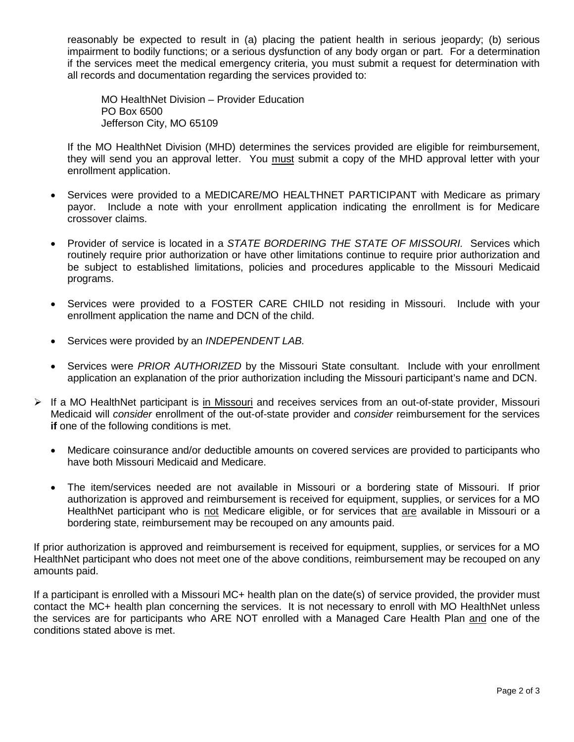reasonably be expected to result in (a) placing the patient health in serious jeopardy; (b) serious impairment to bodily functions; or a serious dysfunction of any body organ or part. For a determination if the services meet the medical emergency criteria, you must submit a request for determination with all records and documentation regarding the services provided to:

MO HealthNet Division – Provider Education PO Box 6500 Jefferson City, MO 65109

If the MO HealthNet Division (MHD) determines the services provided are eligible for reimbursement, they will send you an approval letter. You must submit a copy of the MHD approval letter with your enrollment application.

- Services were provided to a MEDICARE/MO HEALTHNET PARTICIPANT with Medicare as primary payor. Include a note with your enrollment application indicating the enrollment is for Medicare crossover claims.
- Provider of service is located in a *STATE BORDERING THE STATE OF MISSOURI.* Services which routinely require prior authorization or have other limitations continue to require prior authorization and be subject to established limitations, policies and procedures applicable to the Missouri Medicaid programs.
- Services were provided to a FOSTER CARE CHILD not residing in Missouri. Include with your enrollment application the name and DCN of the child.
- Services were provided by an *INDEPENDENT LAB.*
- Services were *PRIOR AUTHORIZED* by the Missouri State consultant. Include with your enrollment application an explanation of the prior authorization including the Missouri participant's name and DCN.
- $\triangleright$  If a MO HealthNet participant is in Missouri and receives services from an out-of-state provider, Missouri Medicaid will *consider* enrollment of the out-of-state provider and *consider* reimbursement for the services **if** one of the following conditions is met.
	- Medicare coinsurance and/or deductible amounts on covered services are provided to participants who have both Missouri Medicaid and Medicare.
	- The item/services needed are not available in Missouri or a bordering state of Missouri. If prior authorization is approved and reimbursement is received for equipment, supplies, or services for a MO HealthNet participant who is not Medicare eligible, or for services that are available in Missouri or a bordering state, reimbursement may be recouped on any amounts paid.

If prior authorization is approved and reimbursement is received for equipment, supplies, or services for a MO HealthNet participant who does not meet one of the above conditions, reimbursement may be recouped on any amounts paid.

If a participant is enrolled with a Missouri MC+ health plan on the date(s) of service provided, the provider must contact the MC+ health plan concerning the services. It is not necessary to enroll with MO HealthNet unless the services are for participants who ARE NOT enrolled with a Managed Care Health Plan and one of the conditions stated above is met.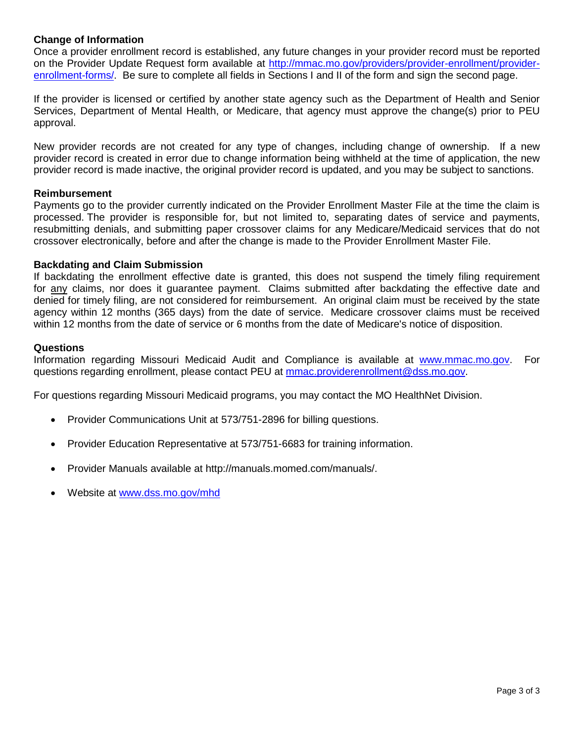### **Change of Information**

Once a provider enrollment record is established, any future changes in your provider record must be reported on the Provider Update Request form available at [http://mmac.mo.gov/providers/provider-enrollment/provider](http://mmac.mo.gov/providers/provider-enrollment/provider-enrollment-forms/)[enrollment-forms/.](http://mmac.mo.gov/providers/provider-enrollment/provider-enrollment-forms/) Be sure to complete all fields in Sections I and II of the form and sign the second page.

If the provider is licensed or certified by another state agency such as the Department of Health and Senior Services, Department of Mental Health, or Medicare, that agency must approve the change(s) prior to PEU approval.

New provider records are not created for any type of changes, including change of ownership. If a new provider record is created in error due to change information being withheld at the time of application, the new provider record is made inactive, the original provider record is updated, and you may be subject to sanctions.

### **Reimbursement**

Payments go to the provider currently indicated on the Provider Enrollment Master File at the time the claim is processed. The provider is responsible for, but not limited to, separating dates of service and payments, resubmitting denials, and submitting paper crossover claims for any Medicare/Medicaid services that do not crossover electronically, before and after the change is made to the Provider Enrollment Master File.

### **Backdating and Claim Submission**

If backdating the enrollment effective date is granted, this does not suspend the timely filing requirement for any claims, nor does it guarantee payment. Claims submitted after backdating the effective date and denied for timely filing, are not considered for reimbursement. An original claim must be received by the state agency within 12 months (365 days) from the date of service. Medicare crossover claims must be received within 12 months from the date of service or 6 months from the date of Medicare's notice of disposition.

### **Questions**

Information regarding Missouri Medicaid Audit and Compliance is available at [www.mmac.mo.gov.](http://www.mmac.mo.gov/) For questions regarding enrollment, please contact PEU at [mmac.providerenrollment@dss.mo.gov.](mailto:mmac.providerenrollment@dss.mo.gov)

For questions regarding Missouri Medicaid programs, you may contact the MO HealthNet Division.

- Provider Communications Unit at 573/751-2896 for billing questions.
- Provider Education Representative at 573/751-6683 for training information.
- Provider Manuals available at http://manuals.momed.com/manuals/.
- Website at [www.dss.mo.gov/mhd](http://www.dss.mo.gov/mhd)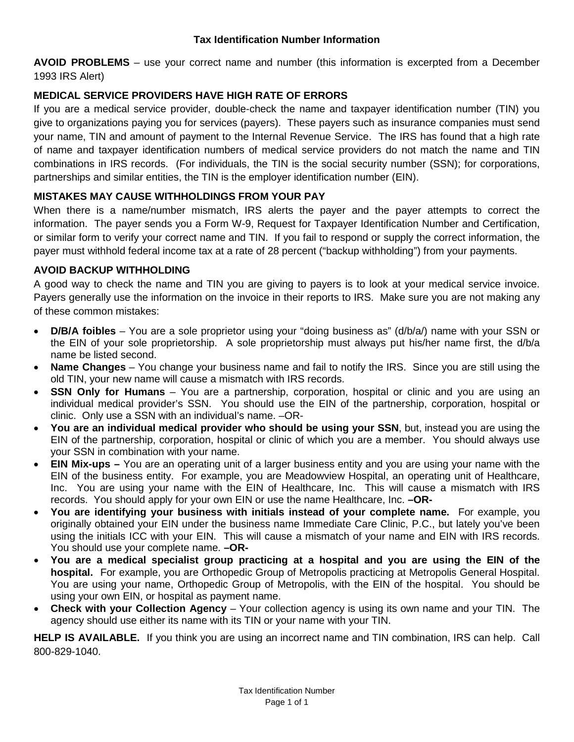## **Tax Identification Number Information**

**AVOID PROBLEMS** – use your correct name and number (this information is excerpted from a December 1993 IRS Alert)

# **MEDICAL SERVICE PROVIDERS HAVE HIGH RATE OF ERRORS**

If you are a medical service provider, double-check the name and taxpayer identification number (TIN) you give to organizations paying you for services (payers). These payers such as insurance companies must send your name, TIN and amount of payment to the Internal Revenue Service. The IRS has found that a high rate of name and taxpayer identification numbers of medical service providers do not match the name and TIN combinations in IRS records. (For individuals, the TIN is the social security number (SSN); for corporations, partnerships and similar entities, the TIN is the employer identification number (EIN).

## **MISTAKES MAY CAUSE WITHHOLDINGS FROM YOUR PAY**

When there is a name/number mismatch, IRS alerts the payer and the payer attempts to correct the information. The payer sends you a Form W-9, Request for Taxpayer Identification Number and Certification, or similar form to verify your correct name and TIN. If you fail to respond or supply the correct information, the payer must withhold federal income tax at a rate of 28 percent ("backup withholding") from your payments.

## **AVOID BACKUP WITHHOLDING**

A good way to check the name and TIN you are giving to payers is to look at your medical service invoice. Payers generally use the information on the invoice in their reports to IRS. Make sure you are not making any of these common mistakes:

- **D/B/A foibles** You are a sole proprietor using your "doing business as" (d/b/a/) name with your SSN or the EIN of your sole proprietorship. A sole proprietorship must always put his/her name first, the d/b/a name be listed second.
- **Name Changes** You change your business name and fail to notify the IRS. Since you are still using the old TIN, your new name will cause a mismatch with IRS records.
- **SSN Only for Humans** You are a partnership, corporation, hospital or clinic and you are using an individual medical provider's SSN. You should use the EIN of the partnership, corporation, hospital or clinic. Only use a SSN with an individual's name. –OR-
- **You are an individual medical provider who should be using your SSN**, but, instead you are using the EIN of the partnership, corporation, hospital or clinic of which you are a member. You should always use your SSN in combination with your name.
- **EIN Mix-ups –** You are an operating unit of a larger business entity and you are using your name with the EIN of the business entity. For example, you are Meadowview Hospital, an operating unit of Healthcare, Inc. You are using your name with the EIN of Healthcare, Inc. This will cause a mismatch with IRS records. You should apply for your own EIN or use the name Healthcare, Inc. **–OR-**
- **You are identifying your business with initials instead of your complete name.** For example, you originally obtained your EIN under the business name Immediate Care Clinic, P.C., but lately you've been using the initials ICC with your EIN. This will cause a mismatch of your name and EIN with IRS records. You should use your complete name. **–OR-**
- **You are a medical specialist group practicing at a hospital and you are using the EIN of the hospital.** For example, you are Orthopedic Group of Metropolis practicing at Metropolis General Hospital. You are using your name, Orthopedic Group of Metropolis, with the EIN of the hospital. You should be using your own EIN, or hospital as payment name.
- **Check with your Collection Agency**  Your collection agency is using its own name and your TIN. The agency should use either its name with its TIN or your name with your TIN.

**HELP IS AVAILABLE.** If you think you are using an incorrect name and TIN combination, IRS can help. Call 800-829-1040.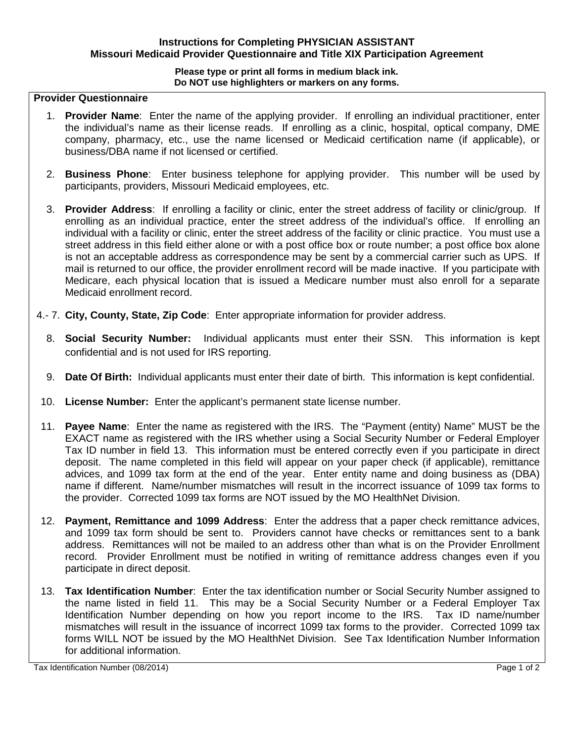## **Instructions for Completing PHYSICIAN ASSISTANT Missouri Medicaid Provider Questionnaire and Title XIX Participation Agreement**

#### **Please type or print all forms in medium black ink. Do NOT use highlighters or markers on any forms.**

## **Provider Questionnaire**

- 1. **Provider Name**: Enter the name of the applying provider. If enrolling an individual practitioner, enter the individual's name as their license reads. If enrolling as a clinic, hospital, optical company, DME company, pharmacy, etc., use the name licensed or Medicaid certification name (if applicable), or business/DBA name if not licensed or certified.
- 2. **Business Phone**: Enter business telephone for applying provider. This number will be used by participants, providers, Missouri Medicaid employees, etc.
- 3. **Provider Address**: If enrolling a facility or clinic, enter the street address of facility or clinic/group. If enrolling as an individual practice, enter the street address of the individual's office. If enrolling an individual with a facility or clinic, enter the street address of the facility or clinic practice. You must use a street address in this field either alone or with a post office box or route number; a post office box alone is not an acceptable address as correspondence may be sent by a commercial carrier such as UPS. If mail is returned to our office, the provider enrollment record will be made inactive. If you participate with Medicare, each physical location that is issued a Medicare number must also enroll for a separate Medicaid enrollment record.
- 4.- 7. **City, County, State, Zip Code**: Enter appropriate information for provider address.
	- 8. **Social Security Number:** Individual applicants must enter their SSN. This information is kept confidential and is not used for IRS reporting.
	- 9. **Date Of Birth:** Individual applicants must enter their date of birth. This information is kept confidential.
- 10. **License Number:** Enter the applicant's permanent state license number.
- 11. **Payee Name**: Enter the name as registered with the IRS. The "Payment (entity) Name" MUST be the EXACT name as registered with the IRS whether using a Social Security Number or Federal Employer Tax ID number in field 13. This information must be entered correctly even if you participate in direct deposit. The name completed in this field will appear on your paper check (if applicable), remittance advices, and 1099 tax form at the end of the year. Enter entity name and doing business as (DBA) name if different. Name/number mismatches will result in the incorrect issuance of 1099 tax forms to the provider. Corrected 1099 tax forms are NOT issued by the MO HealthNet Division.
- 12. **Payment, Remittance and 1099 Address**: Enter the address that a paper check remittance advices, and 1099 tax form should be sent to. Providers cannot have checks or remittances sent to a bank address. Remittances will not be mailed to an address other than what is on the Provider Enrollment record. Provider Enrollment must be notified in writing of remittance address changes even if you participate in direct deposit.
- 13. **Tax Identification Number**: Enter the tax identification number or Social Security Number assigned to the name listed in field 11. This may be a Social Security Number or a Federal Employer Tax Identification Number depending on how you report income to the IRS. Tax ID name/number mismatches will result in the issuance of incorrect 1099 tax forms to the provider. Corrected 1099 tax forms WILL NOT be issued by the MO HealthNet Division. See Tax Identification Number Information for additional information.

Tax Identification Number (08/2014) Page 1 of 2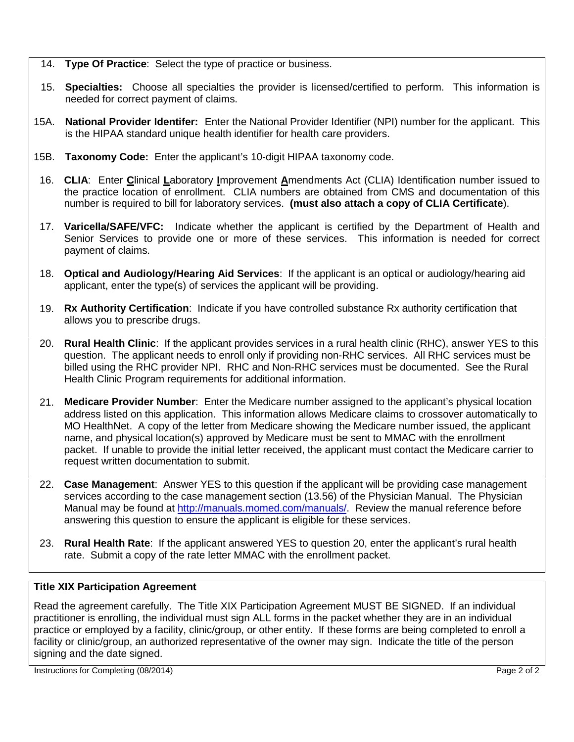- 14. **Type Of Practice**: Select the type of practice or business.
- 15. **Specialties:** Choose all specialties the provider is licensed/certified to perform. This information is needed for correct payment of claims.
- 15A. **National Provider Identifer:** Enter the National Provider Identifier (NPI) number for the applicant. This is the HIPAA standard unique health identifier for health care providers.
- 15B. **Taxonomy Code:** Enter the applicant's 10-digit HIPAA taxonomy code.
- 16. **CLIA**: Enter **C**linical **L**aboratory **I**mprovement **A**mendments Act (CLIA) Identification number issued to the practice location of enrollment. CLIA numbers are obtained from CMS and documentation of this number is required to bill for laboratory services. **(must also attach a copy of CLIA Certificate**).
- 17. **Varicella/SAFE/VFC:** Indicate whether the applicant is certified by the Department of Health and Senior Services to provide one or more of these services. This information is needed for correct payment of claims.
- 18. **Optical and Audiology/Hearing Aid Services**: If the applicant is an optical or audiology/hearing aid applicant, enter the type(s) of services the applicant will be providing.
- 19. **Rx Authority Certification**: Indicate if you have controlled substance Rx authority certification that allows you to prescribe drugs.
- 20. **Rural Health Clinic**: If the applicant provides services in a rural health clinic (RHC), answer YES to this question. The applicant needs to enroll only if providing non-RHC services. All RHC services must be billed using the RHC provider NPI. RHC and Non-RHC services must be documented. See the Rural Health Clinic Program requirements for additional information.
- 21. **Medicare Provider Number**: Enter the Medicare number assigned to the applicant's physical location address listed on this application. This information allows Medicare claims to crossover automatically to MO HealthNet. A copy of the letter from Medicare showing the Medicare number issued, the applicant name, and physical location(s) approved by Medicare must be sent to MMAC with the enrollment packet. If unable to provide the initial letter received, the applicant must contact the Medicare carrier to request written documentation to submit.
- 22. **Case Management**: Answer YES to this question if the applicant will be providing case management services according to the case management section (13.56) of the Physician Manual. The Physician Manual may be found at [http://manuals.momed.com/manuals/.](http://manuals.momed.com/manuals/) Review the manual reference before answering this question to ensure the applicant is eligible for these services.
- 23. **Rural Health Rate**: If the applicant answered YES to question 20, enter the applicant's rural health rate. Submit a copy of the rate letter MMAC with the enrollment packet.

## **Title XIX Participation Agreement**

Read the agreement carefully. The Title XIX Participation Agreement MUST BE SIGNED. If an individual practitioner is enrolling, the individual must sign ALL forms in the packet whether they are in an individual practice or employed by a facility, clinic/group, or other entity. If these forms are being completed to enroll a facility or clinic/group, an authorized representative of the owner may sign. Indicate the title of the person signing and the date signed.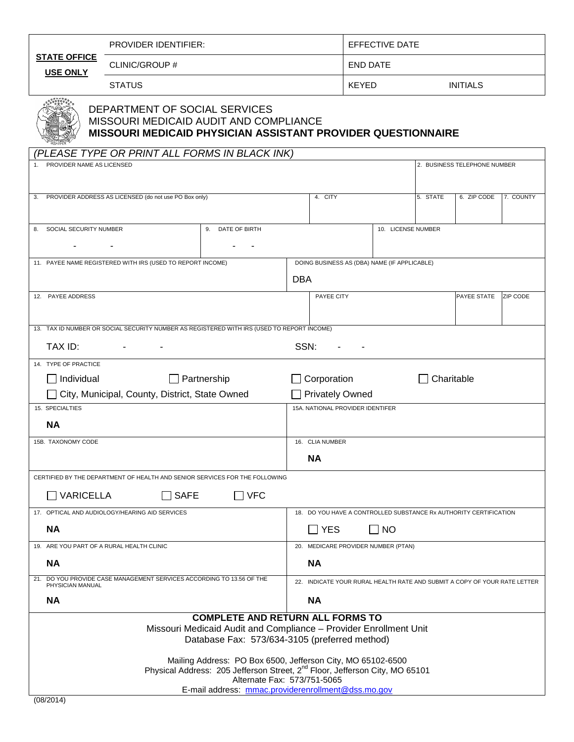|                                                                                                                                                                                       | <b>PROVIDER IDENTIFIER:</b>                                                                |                    |                                  |                              | <b>EFFECTIVE DATE</b>                        |            |                                                                           |                 |  |  |  |
|---------------------------------------------------------------------------------------------------------------------------------------------------------------------------------------|--------------------------------------------------------------------------------------------|--------------------|----------------------------------|------------------------------|----------------------------------------------|------------|---------------------------------------------------------------------------|-----------------|--|--|--|
| <b>STATE OFFICE</b><br>USE ONLY                                                                                                                                                       | CLINIC/GROUP #                                                                             |                    |                                  | <b>END DATE</b>              |                                              |            |                                                                           |                 |  |  |  |
|                                                                                                                                                                                       | <b>STATUS</b>                                                                              |                    |                                  | <b>KEYED</b>                 |                                              |            | <b>INITIALS</b>                                                           |                 |  |  |  |
| DEPARTMENT OF SOCIAL SERVICES<br>MISSOURI MEDICAID AUDIT AND COMPLIANCE<br>MISSOURI MEDICAID PHYSICIAN ASSISTANT PROVIDER QUESTIONNAIRE                                               |                                                                                            |                    |                                  |                              |                                              |            |                                                                           |                 |  |  |  |
| (PLEASE TYPE OR PRINT ALL FORMS IN BLACK INK)<br>PROVIDER NAME AS LICENSED                                                                                                            |                                                                                            |                    |                                  | 2. BUSINESS TELEPHONE NUMBER |                                              |            |                                                                           |                 |  |  |  |
| 3.                                                                                                                                                                                    | PROVIDER ADDRESS AS LICENSED (do not use PO Box only)                                      |                    | 4. CITY                          |                              |                                              | 5. STATE   | 6. ZIP CODE                                                               | 7. COUNTY       |  |  |  |
| 8. SOCIAL SECURITY NUMBER                                                                                                                                                             |                                                                                            | 9. DATE OF BIRTH   |                                  |                              | 10. LICENSE NUMBER                           |            |                                                                           |                 |  |  |  |
|                                                                                                                                                                                       | $\overline{\phantom{a}}$                                                                   |                    |                                  |                              |                                              |            |                                                                           |                 |  |  |  |
|                                                                                                                                                                                       |                                                                                            |                    |                                  |                              |                                              |            |                                                                           |                 |  |  |  |
|                                                                                                                                                                                       | 11. PAYEE NAME REGISTERED WITH IRS (USED TO REPORT INCOME)                                 |                    |                                  |                              | DOING BUSINESS AS (DBA) NAME (IF APPLICABLE) |            |                                                                           |                 |  |  |  |
|                                                                                                                                                                                       |                                                                                            |                    | <b>DBA</b>                       |                              |                                              |            |                                                                           |                 |  |  |  |
| 12. PAYEE ADDRESS                                                                                                                                                                     |                                                                                            |                    | PAYEE CITY                       |                              |                                              |            | <b>PAYEE STATE</b>                                                        | <b>ZIP CODE</b> |  |  |  |
|                                                                                                                                                                                       |                                                                                            |                    |                                  |                              |                                              |            |                                                                           |                 |  |  |  |
|                                                                                                                                                                                       | 13. TAX ID NUMBER OR SOCIAL SECURITY NUMBER AS REGISTERED WITH IRS (USED TO REPORT INCOME) |                    |                                  |                              |                                              |            |                                                                           |                 |  |  |  |
| TAX ID:                                                                                                                                                                               |                                                                                            |                    | SSN:                             |                              |                                              |            |                                                                           |                 |  |  |  |
| 14. TYPE OF PRACTICE                                                                                                                                                                  |                                                                                            |                    |                                  |                              |                                              |            |                                                                           |                 |  |  |  |
| $\Box$ Individual                                                                                                                                                                     |                                                                                            | $\Box$ Partnership | $\Box$ Corporation               |                              |                                              | Charitable |                                                                           |                 |  |  |  |
|                                                                                                                                                                                       | City, Municipal, County, District, State Owned                                             |                    | □ Privately Owned                |                              |                                              |            |                                                                           |                 |  |  |  |
| 15. SPECIALTIES                                                                                                                                                                       |                                                                                            |                    | 15A. NATIONAL PROVIDER IDENTIFER |                              |                                              |            |                                                                           |                 |  |  |  |
| <b>NA</b>                                                                                                                                                                             |                                                                                            |                    |                                  |                              |                                              |            |                                                                           |                 |  |  |  |
| 15B. TAXONOMY CODE                                                                                                                                                                    |                                                                                            |                    | 16. CLIA NUMBER                  |                              |                                              |            |                                                                           |                 |  |  |  |
|                                                                                                                                                                                       |                                                                                            |                    | <b>NA</b>                        |                              |                                              |            |                                                                           |                 |  |  |  |
|                                                                                                                                                                                       |                                                                                            |                    |                                  |                              |                                              |            |                                                                           |                 |  |  |  |
|                                                                                                                                                                                       | CERTIFIED BY THE DEPARTMENT OF HEALTH AND SENIOR SERVICES FOR THE FOLLOWING                |                    |                                  |                              |                                              |            |                                                                           |                 |  |  |  |
| <b>VARICELLA</b>                                                                                                                                                                      | <b>SAFE</b>                                                                                | <b>VFC</b>         |                                  |                              |                                              |            |                                                                           |                 |  |  |  |
|                                                                                                                                                                                       | 17. OPTICAL AND AUDIOLOGY/HEARING AID SERVICES                                             |                    |                                  |                              |                                              |            | 18. DO YOU HAVE A CONTROLLED SUBSTANCE Rx AUTHORITY CERTIFICATION         |                 |  |  |  |
| <b>NA</b>                                                                                                                                                                             |                                                                                            |                    |                                  | <b>YES</b><br>NO             |                                              |            |                                                                           |                 |  |  |  |
| 19. ARE YOU PART OF A RURAL HEALTH CLINIC                                                                                                                                             |                                                                                            |                    |                                  |                              | 20. MEDICARE PROVIDER NUMBER (PTAN)          |            |                                                                           |                 |  |  |  |
| <b>NA</b>                                                                                                                                                                             |                                                                                            |                    | <b>NA</b>                        |                              |                                              |            |                                                                           |                 |  |  |  |
| PHYSICIAN MANUAL                                                                                                                                                                      | 21. DO YOU PROVIDE CASE MANAGEMENT SERVICES ACCORDING TO 13.56 OF THE                      |                    |                                  |                              |                                              |            | 22. INDICATE YOUR RURAL HEALTH RATE AND SUBMIT A COPY OF YOUR RATE LETTER |                 |  |  |  |
| <b>NA</b>                                                                                                                                                                             |                                                                                            |                    | <b>NA</b>                        |                              |                                              |            |                                                                           |                 |  |  |  |
| <b>COMPLETE AND RETURN ALL FORMS TO</b>                                                                                                                                               |                                                                                            |                    |                                  |                              |                                              |            |                                                                           |                 |  |  |  |
| Missouri Medicaid Audit and Compliance - Provider Enrollment Unit<br>Database Fax: 573/634-3105 (preferred method)                                                                    |                                                                                            |                    |                                  |                              |                                              |            |                                                                           |                 |  |  |  |
| Mailing Address: PO Box 6500, Jefferson City, MO 65102-6500<br>Physical Address: 205 Jefferson Street, 2 <sup>nd</sup> Floor, Jefferson City, MO 65101<br>Alternate Fax: 573/751-5065 |                                                                                            |                    |                                  |                              |                                              |            |                                                                           |                 |  |  |  |
|                                                                                                                                                                                       |                                                                                            |                    |                                  |                              |                                              |            | E-mail address: mmac.providerenrollment@dss.mo.gov                        |                 |  |  |  |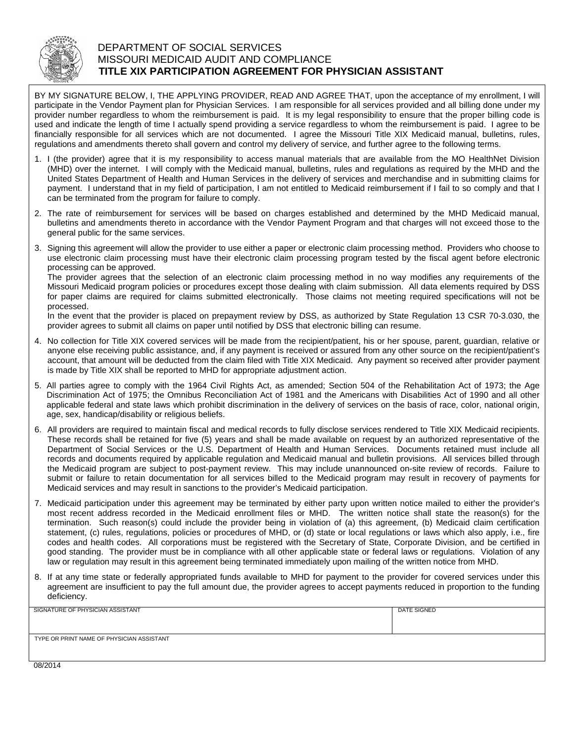

### DEPARTMENT OF SOCIAL SERVICES MISSOURI MEDICAID AUDIT AND COMPLIANCE **TITLE XIX PARTICIPATION AGREEMENT FOR PHYSICIAN ASSISTANT**

BY MY SIGNATURE BELOW, I, THE APPLYING PROVIDER, READ AND AGREE THAT, upon the acceptance of my enrollment, I will participate in the Vendor Payment plan for Physician Services. I am responsible for all services provided and all billing done under my provider number regardless to whom the reimbursement is paid. It is my legal responsibility to ensure that the proper billing code is used and indicate the length of time I actually spend providing a service regardless to whom the reimbursement is paid. I agree to be financially responsible for all services which are not documented. I agree the Missouri Title XIX Medicaid manual, bulletins, rules, regulations and amendments thereto shall govern and control my delivery of service, and further agree to the following terms.

- 1. I (the provider) agree that it is my responsibility to access manual materials that are available from the MO HealthNet Division (MHD) over the internet. I will comply with the Medicaid manual, bulletins, rules and regulations as required by the MHD and the United States Department of Health and Human Services in the delivery of services and merchandise and in submitting claims for payment. I understand that in my field of participation, I am not entitled to Medicaid reimbursement if I fail to so comply and that I can be terminated from the program for failure to comply.
- 2. The rate of reimbursement for services will be based on charges established and determined by the MHD Medicaid manual, bulletins and amendments thereto in accordance with the Vendor Payment Program and that charges will not exceed those to the general public for the same services.
- 3. Signing this agreement will allow the provider to use either a paper or electronic claim processing method. Providers who choose to use electronic claim processing must have their electronic claim processing program tested by the fiscal agent before electronic processing can be approved.

The provider agrees that the selection of an electronic claim processing method in no way modifies any requirements of the Missouri Medicaid program policies or procedures except those dealing with claim submission. All data elements required by DSS for paper claims are required for claims submitted electronically. Those claims not meeting required specifications will not be processed.

In the event that the provider is placed on prepayment review by DSS, as authorized by State Regulation 13 CSR 70-3.030, the provider agrees to submit all claims on paper until notified by DSS that electronic billing can resume.

- 4. No collection for Title XIX covered services will be made from the recipient/patient, his or her spouse, parent, guardian, relative or anyone else receiving public assistance, and, if any payment is received or assured from any other source on the recipient/patient's account, that amount will be deducted from the claim filed with Title XIX Medicaid. Any payment so received after provider payment is made by Title XIX shall be reported to MHD for appropriate adjustment action.
- 5. All parties agree to comply with the 1964 Civil Rights Act, as amended; Section 504 of the Rehabilitation Act of 1973; the Age Discrimination Act of 1975; the Omnibus Reconciliation Act of 1981 and the Americans with Disabilities Act of 1990 and all other applicable federal and state laws which prohibit discrimination in the delivery of services on the basis of race, color, national origin, age, sex, handicap/disability or religious beliefs.
- 6. All providers are required to maintain fiscal and medical records to fully disclose services rendered to Title XIX Medicaid recipients. These records shall be retained for five (5) years and shall be made available on request by an authorized representative of the Department of Social Services or the U.S. Department of Health and Human Services. Documents retained must include all records and documents required by applicable regulation and Medicaid manual and bulletin provisions. All services billed through the Medicaid program are subject to post-payment review. This may include unannounced on-site review of records. Failure to submit or failure to retain documentation for all services billed to the Medicaid program may result in recovery of payments for Medicaid services and may result in sanctions to the provider's Medicaid participation.
- 7. Medicaid participation under this agreement may be terminated by either party upon written notice mailed to either the provider's most recent address recorded in the Medicaid enrollment files or MHD. The written notice shall state the reason(s) for the termination. Such reason(s) could include the provider being in violation of (a) this agreement, (b) Medicaid claim certification statement, (c) rules, regulations, policies or procedures of MHD, or (d) state or local regulations or laws which also apply, i.e., fire codes and health codes. All corporations must be registered with the Secretary of State, Corporate Division, and be certified in good standing. The provider must be in compliance with all other applicable state or federal laws or regulations. Violation of any law or regulation may result in this agreement being terminated immediately upon mailing of the written notice from MHD.
- 8. If at any time state or federally appropriated funds available to MHD for payment to the provider for covered services under this agreement are insufficient to pay the full amount due, the provider agrees to accept payments reduced in proportion to the funding deficiency.

| SIGNATURE OF PHYSICIAN ASSISTANT          | DATE SIGNED |
|-------------------------------------------|-------------|
|                                           |             |
| TYPE OR PRINT NAME OF PHYSICIAN ASSISTANT |             |
|                                           |             |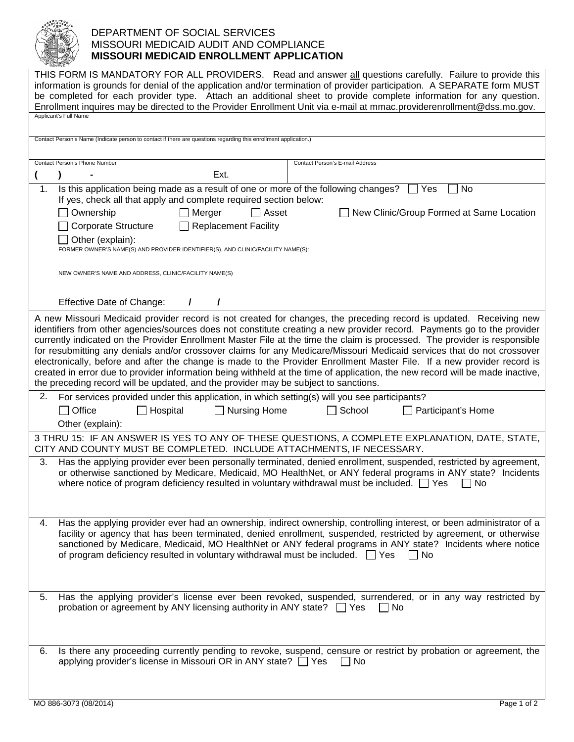

## DEPARTMENT OF SOCIAL SERVICES MISSOURI MEDICAID AUDIT AND COMPLIANCE **MISSOURI MEDICAID ENROLLMENT APPLICATION**

| THIS FORM IS MANDATORY FOR ALL PROVIDERS. Read and answer all questions carefully. Failure to provide this<br>information is grounds for denial of the application and/or termination of provider participation. A SEPARATE form MUST<br>be completed for each provider type. Attach an additional sheet to provide complete information for any question.<br>Enrollment inquires may be directed to the Provider Enrollment Unit via e-mail at mmac.providerenrollment@dss.mo.gov.<br>Applicant's Full Name                                                                                                                                                                                                                                                                                                                                             |  |  |  |  |  |  |
|----------------------------------------------------------------------------------------------------------------------------------------------------------------------------------------------------------------------------------------------------------------------------------------------------------------------------------------------------------------------------------------------------------------------------------------------------------------------------------------------------------------------------------------------------------------------------------------------------------------------------------------------------------------------------------------------------------------------------------------------------------------------------------------------------------------------------------------------------------|--|--|--|--|--|--|
| Contact Person's Name (Indicate person to contact if there are questions regarding this enrollment application.)                                                                                                                                                                                                                                                                                                                                                                                                                                                                                                                                                                                                                                                                                                                                         |  |  |  |  |  |  |
|                                                                                                                                                                                                                                                                                                                                                                                                                                                                                                                                                                                                                                                                                                                                                                                                                                                          |  |  |  |  |  |  |
| Contact Person's Phone Number<br>Contact Person's E-mail Address<br>Ext.                                                                                                                                                                                                                                                                                                                                                                                                                                                                                                                                                                                                                                                                                                                                                                                 |  |  |  |  |  |  |
| Is this application being made as a result of one or more of the following changes? $\Box$ Yes<br>1.<br>No<br>If yes, check all that apply and complete required section below:                                                                                                                                                                                                                                                                                                                                                                                                                                                                                                                                                                                                                                                                          |  |  |  |  |  |  |
| Ownership<br>Merger<br>$\Box$ Asset<br>New Clinic/Group Formed at Same Location                                                                                                                                                                                                                                                                                                                                                                                                                                                                                                                                                                                                                                                                                                                                                                          |  |  |  |  |  |  |
| <b>Replacement Facility</b><br><b>Corporate Structure</b><br>Other (explain):<br>FORMER OWNER'S NAME(S) AND PROVIDER IDENTIFIER(S), AND CLINIC/FACILITY NAME(S):                                                                                                                                                                                                                                                                                                                                                                                                                                                                                                                                                                                                                                                                                         |  |  |  |  |  |  |
| NEW OWNER'S NAME AND ADDRESS, CLINIC/FACILITY NAME(S)                                                                                                                                                                                                                                                                                                                                                                                                                                                                                                                                                                                                                                                                                                                                                                                                    |  |  |  |  |  |  |
| Effective Date of Change:<br>7<br>I                                                                                                                                                                                                                                                                                                                                                                                                                                                                                                                                                                                                                                                                                                                                                                                                                      |  |  |  |  |  |  |
| A new Missouri Medicaid provider record is not created for changes, the preceding record is updated. Receiving new<br>identifiers from other agencies/sources does not constitute creating a new provider record. Payments go to the provider<br>currently indicated on the Provider Enrollment Master File at the time the claim is processed. The provider is responsible<br>for resubmitting any denials and/or crossover claims for any Medicare/Missouri Medicaid services that do not crossover<br>electronically, before and after the change is made to the Provider Enrollment Master File. If a new provider record is<br>created in error due to provider information being withheld at the time of application, the new record will be made inactive,<br>the preceding record will be updated, and the provider may be subject to sanctions. |  |  |  |  |  |  |
| 2.<br>For services provided under this application, in which setting(s) will you see participants?                                                                                                                                                                                                                                                                                                                                                                                                                                                                                                                                                                                                                                                                                                                                                       |  |  |  |  |  |  |
| Nursing Home<br>$\Box$ Office<br>Hospital<br>School<br>Participant's Home<br>$\mathsf{L}$<br>Other (explain):                                                                                                                                                                                                                                                                                                                                                                                                                                                                                                                                                                                                                                                                                                                                            |  |  |  |  |  |  |
| 3 THRU 15: IF AN ANSWER IS YES TO ANY OF THESE QUESTIONS, A COMPLETE EXPLANATION, DATE, STATE,<br>CITY AND COUNTY MUST BE COMPLETED. INCLUDE ATTACHMENTS, IF NECESSARY.                                                                                                                                                                                                                                                                                                                                                                                                                                                                                                                                                                                                                                                                                  |  |  |  |  |  |  |
| Has the applying provider ever been personally terminated, denied enrollment, suspended, restricted by agreement,<br>З.<br>or otherwise sanctioned by Medicare, Medicaid, MO HealthNet, or ANY federal programs in ANY state? Incidents<br>where notice of program deficiency resulted in voluntary withdrawal must be included. $\Box$ Yes<br>No.                                                                                                                                                                                                                                                                                                                                                                                                                                                                                                       |  |  |  |  |  |  |
| Has the applying provider ever had an ownership, indirect ownership, controlling interest, or been administrator of a<br>4.<br>facility or agency that has been terminated, denied enrollment, suspended, restricted by agreement, or otherwise<br>sanctioned by Medicare, Medicaid, MO HealthNet or ANY federal programs in ANY state? Incidents where notice<br>of program deficiency resulted in voluntary withdrawal must be included. $\Box$ Yes<br>$\vert$ $\vert$ No                                                                                                                                                                                                                                                                                                                                                                              |  |  |  |  |  |  |
| Has the applying provider's license ever been revoked, suspended, surrendered, or in any way restricted by<br>5.<br>probation or agreement by ANY licensing authority in ANY state? $\Box$ Yes<br>No                                                                                                                                                                                                                                                                                                                                                                                                                                                                                                                                                                                                                                                     |  |  |  |  |  |  |
| Is there any proceeding currently pending to revoke, suspend, censure or restrict by probation or agreement, the<br>6.<br>applying provider's license in Missouri OR in ANY state? □ Yes<br>$\Box$ No                                                                                                                                                                                                                                                                                                                                                                                                                                                                                                                                                                                                                                                    |  |  |  |  |  |  |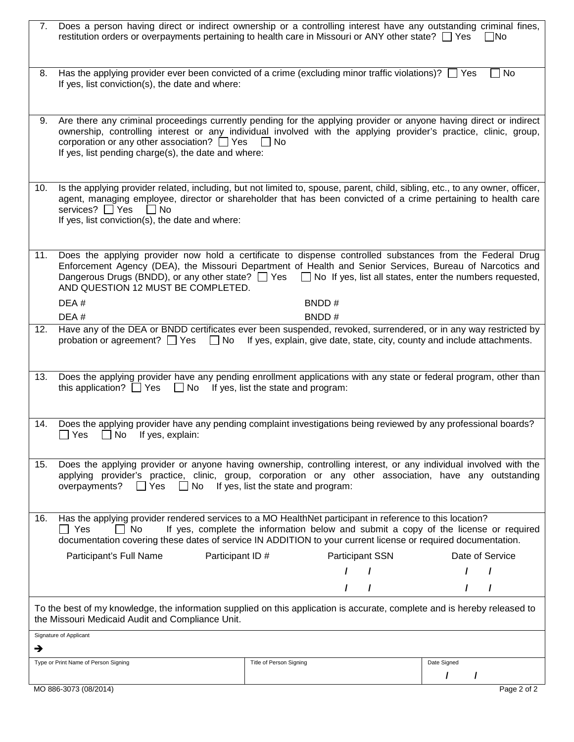|                                                                                                                                                                               | 7. Does a person having direct or indirect ownership or a controlling interest have any outstanding criminal fines,<br>restitution orders or overpayments pertaining to health care in Missouri or ANY other state? $\Box$ Yes                                                                                                                                                        |                                                                                     | INo             |  |
|-------------------------------------------------------------------------------------------------------------------------------------------------------------------------------|---------------------------------------------------------------------------------------------------------------------------------------------------------------------------------------------------------------------------------------------------------------------------------------------------------------------------------------------------------------------------------------|-------------------------------------------------------------------------------------|-----------------|--|
| 8.                                                                                                                                                                            | Has the applying provider ever been convicted of a crime (excluding minor traffic violations)? $\Box$ Yes<br>If yes, list conviction(s), the date and where:                                                                                                                                                                                                                          |                                                                                     | $\Box$ No       |  |
| 9.                                                                                                                                                                            | Are there any criminal proceedings currently pending for the applying provider or anyone having direct or indirect<br>ownership, controlling interest or any individual involved with the applying provider's practice, clinic, group,<br>corporation or any other association? $\Box$ Yes $\Box$ No<br>If yes, list pending charge(s), the date and where:                           |                                                                                     |                 |  |
| 10.                                                                                                                                                                           | Is the applying provider related, including, but not limited to, spouse, parent, child, sibling, etc., to any owner, officer,<br>agent, managing employee, director or shareholder that has been convicted of a crime pertaining to health care<br>services? □ Yes<br>    No<br>If yes, list conviction(s), the date and where:                                                       |                                                                                     |                 |  |
| 11.                                                                                                                                                                           | Does the applying provider now hold a certificate to dispense controlled substances from the Federal Drug<br>Enforcement Agency (DEA), the Missouri Department of Health and Senior Services, Bureau of Narcotics and<br>Dangerous Drugs (BNDD), or any other state? $\Box$ Yes $\Box$ No If yes, list all states, enter the numbers requested,<br>AND QUESTION 12 MUST BE COMPLETED. |                                                                                     |                 |  |
|                                                                                                                                                                               | DEA#                                                                                                                                                                                                                                                                                                                                                                                  | BNDD#                                                                               |                 |  |
| 12.                                                                                                                                                                           | DEA#<br>Have any of the DEA or BNDD certificates ever been suspended, revoked, surrendered, or in any way restricted by<br>probation or agreement? $\Box$ Yes $\Box$ No                                                                                                                                                                                                               | BNDD#<br>If yes, explain, give date, state, city, county and include attachments.   |                 |  |
| 13.                                                                                                                                                                           | Does the applying provider have any pending enrollment applications with any state or federal program, other than<br>this application? $\Box$ Yes $\Box$ No If yes, list the state and program:                                                                                                                                                                                       |                                                                                     |                 |  |
| 14.                                                                                                                                                                           | Does the applying provider have any pending complaint investigations being reviewed by any professional boards?<br>$\sqcup$ Yes<br>No<br>If yes, explain:                                                                                                                                                                                                                             |                                                                                     |                 |  |
| 15.                                                                                                                                                                           | Does the applying provider or anyone having ownership, controlling interest, or any individual involved with the<br>applying provider's practice, clinic, group, corporation or any other association, have any outstanding<br>$\Box$ No<br>overpayments?<br>Yes                                                                                                                      | If yes, list the state and program:                                                 |                 |  |
| 16.                                                                                                                                                                           | Has the applying provider rendered services to a MO HealthNet participant in reference to this location?<br>  No<br>Yes<br>documentation covering these dates of service IN ADDITION to your current license or required documentation.                                                                                                                                               | If yes, complete the information below and submit a copy of the license or required |                 |  |
|                                                                                                                                                                               | Participant's Full Name<br>Participant ID #                                                                                                                                                                                                                                                                                                                                           | <b>Participant SSN</b>                                                              | Date of Service |  |
|                                                                                                                                                                               |                                                                                                                                                                                                                                                                                                                                                                                       | $\prime$                                                                            |                 |  |
|                                                                                                                                                                               |                                                                                                                                                                                                                                                                                                                                                                                       |                                                                                     |                 |  |
| To the best of my knowledge, the information supplied on this application is accurate, complete and is hereby released to<br>the Missouri Medicaid Audit and Compliance Unit. |                                                                                                                                                                                                                                                                                                                                                                                       |                                                                                     |                 |  |
| →                                                                                                                                                                             | Signature of Applicant                                                                                                                                                                                                                                                                                                                                                                |                                                                                     |                 |  |
|                                                                                                                                                                               | Type or Print Name of Person Signing                                                                                                                                                                                                                                                                                                                                                  | Title of Person Signing                                                             | Date Signed     |  |
|                                                                                                                                                                               |                                                                                                                                                                                                                                                                                                                                                                                       |                                                                                     | I               |  |
|                                                                                                                                                                               | MO 886-3073 (08/2014)                                                                                                                                                                                                                                                                                                                                                                 |                                                                                     | Page 2 of 2     |  |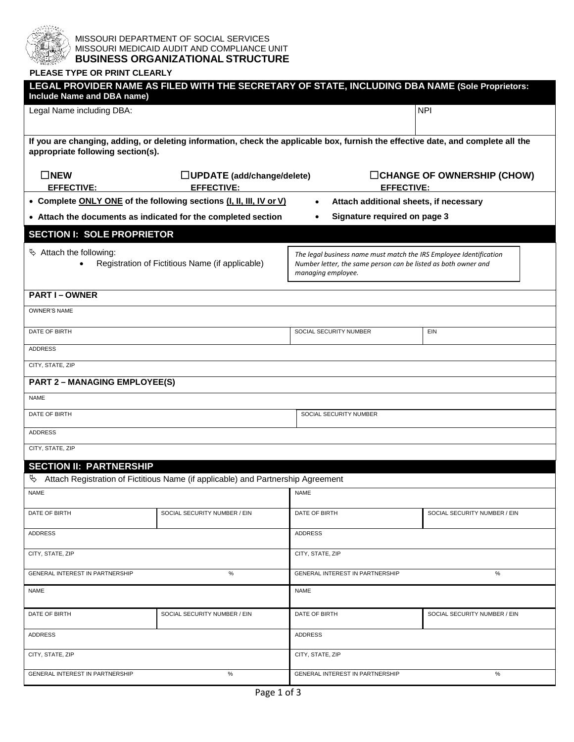

#### MISSOURI DEPARTMENT OF SOCIAL SERVICES MISSOURI MEDICAID AUDIT AND COMPLIANCE UNIT **BUSINESS ORGANIZATIONAL STRUCTURE**

### **PLEASE TYPE OR PRINT CLEARLY**

| Include Name and DBA name)                                                                                                                                            | LEGAL PROVIDER NAME AS FILED WITH THE SECRETARY OF STATE, INCLUDING DBA NAME (Sole Proprietors: |                                                                                                                                                            |                                   |  |  |  |
|-----------------------------------------------------------------------------------------------------------------------------------------------------------------------|-------------------------------------------------------------------------------------------------|------------------------------------------------------------------------------------------------------------------------------------------------------------|-----------------------------------|--|--|--|
| Legal Name including DBA:                                                                                                                                             |                                                                                                 |                                                                                                                                                            | <b>NPI</b>                        |  |  |  |
|                                                                                                                                                                       |                                                                                                 |                                                                                                                                                            |                                   |  |  |  |
| If you are changing, adding, or deleting information, check the applicable box, furnish the effective date, and complete all the<br>appropriate following section(s). |                                                                                                 |                                                                                                                                                            |                                   |  |  |  |
| $\square$ NEW<br><b>EFFECTIVE:</b>                                                                                                                                    | $\Box$ UPDATE (add/change/delete)<br><b>EFFECTIVE:</b>                                          | <b>EFFECTIVE:</b>                                                                                                                                          | $\Box$ CHANGE OF OWNERSHIP (CHOW) |  |  |  |
|                                                                                                                                                                       | • Complete ONLY ONE of the following sections (I, II, III, IV or V)                             | Attach additional sheets, if necessary<br>$\bullet$                                                                                                        |                                   |  |  |  |
|                                                                                                                                                                       | • Attach the documents as indicated for the completed section                                   | Signature required on page 3                                                                                                                               |                                   |  |  |  |
| <b>SECTION I: SOLE PROPRIETOR</b>                                                                                                                                     |                                                                                                 |                                                                                                                                                            |                                   |  |  |  |
| $\%$ Attach the following:                                                                                                                                            | Registration of Fictitious Name (if applicable)                                                 | The legal business name must match the IRS Employee Identification<br>Number letter, the same person can be listed as both owner and<br>managing employee. |                                   |  |  |  |
| <b>PART I-OWNER</b>                                                                                                                                                   |                                                                                                 |                                                                                                                                                            |                                   |  |  |  |
| <b>OWNER'S NAME</b>                                                                                                                                                   |                                                                                                 |                                                                                                                                                            |                                   |  |  |  |
| DATE OF BIRTH                                                                                                                                                         |                                                                                                 | SOCIAL SECURITY NUMBER                                                                                                                                     | EIN                               |  |  |  |
| <b>ADDRESS</b>                                                                                                                                                        |                                                                                                 |                                                                                                                                                            |                                   |  |  |  |
| CITY, STATE, ZIP                                                                                                                                                      |                                                                                                 |                                                                                                                                                            |                                   |  |  |  |
| <b>PART 2 - MANAGING EMPLOYEE(S)</b>                                                                                                                                  |                                                                                                 |                                                                                                                                                            |                                   |  |  |  |
| <b>NAME</b>                                                                                                                                                           |                                                                                                 |                                                                                                                                                            |                                   |  |  |  |
| DATE OF BIRTH                                                                                                                                                         |                                                                                                 | SOCIAL SECURITY NUMBER                                                                                                                                     |                                   |  |  |  |
| <b>ADDRESS</b>                                                                                                                                                        |                                                                                                 |                                                                                                                                                            |                                   |  |  |  |
| CITY, STATE, ZIP                                                                                                                                                      |                                                                                                 |                                                                                                                                                            |                                   |  |  |  |
| <b>SECTION II: PARTNERSHIP</b>                                                                                                                                        |                                                                                                 |                                                                                                                                                            |                                   |  |  |  |
| Þ,<br><b>NAME</b>                                                                                                                                                     | Attach Registration of Fictitious Name (if applicable) and Partnership Agreement                | <b>NAME</b>                                                                                                                                                |                                   |  |  |  |
|                                                                                                                                                                       |                                                                                                 |                                                                                                                                                            |                                   |  |  |  |
| DATE OF BIRTH                                                                                                                                                         | SOCIAL SECURITY NUMBER / EIN                                                                    | DATE OF BIRTH                                                                                                                                              | SOCIAL SECURITY NUMBER / EIN      |  |  |  |
| <b>ADDRESS</b>                                                                                                                                                        |                                                                                                 | <b>ADDRESS</b>                                                                                                                                             |                                   |  |  |  |
| CITY, STATE, ZIP                                                                                                                                                      |                                                                                                 | CITY, STATE, ZIP                                                                                                                                           |                                   |  |  |  |
| GENERAL INTEREST IN PARTNERSHIP                                                                                                                                       | $\%$                                                                                            | GENERAL INTEREST IN PARTNERSHIP<br>$\%$                                                                                                                    |                                   |  |  |  |
| NAME                                                                                                                                                                  |                                                                                                 | <b>NAME</b>                                                                                                                                                |                                   |  |  |  |
| DATE OF BIRTH                                                                                                                                                         | SOCIAL SECURITY NUMBER / EIN                                                                    | DATE OF BIRTH                                                                                                                                              | SOCIAL SECURITY NUMBER / EIN      |  |  |  |
| <b>ADDRESS</b>                                                                                                                                                        |                                                                                                 | <b>ADDRESS</b>                                                                                                                                             |                                   |  |  |  |
| CITY, STATE, ZIP                                                                                                                                                      |                                                                                                 | CITY, STATE, ZIP                                                                                                                                           |                                   |  |  |  |
| GENERAL INTEREST IN PARTNERSHIP                                                                                                                                       | ℅                                                                                               | GENERAL INTEREST IN PARTNERSHIP<br>$\%$                                                                                                                    |                                   |  |  |  |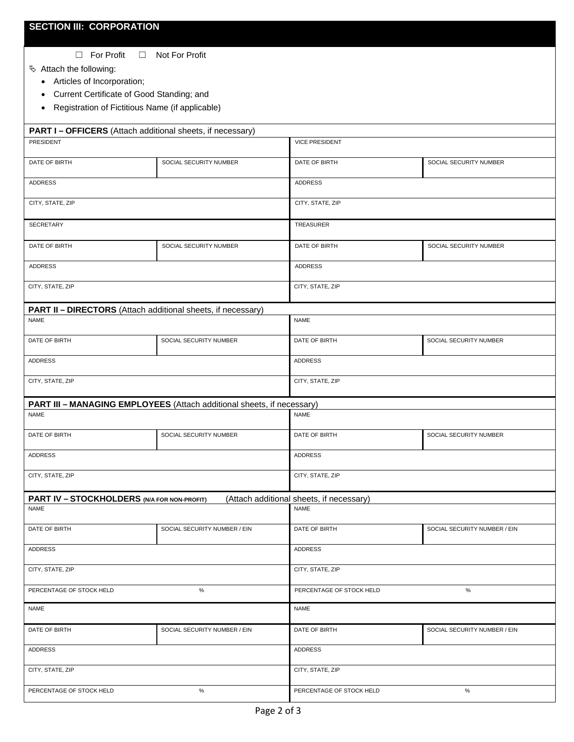☐ For Profit ☐ Not For Profit

Attach the following:

- Articles of Incorporation;
- Current Certificate of Good Standing; and
- Registration of Fictitious Name (if applicable)

| PART I - OFFICERS (Attach additional sheets, if necessary)                            |                              |                                          |                              |  |  |  |  |
|---------------------------------------------------------------------------------------|------------------------------|------------------------------------------|------------------------------|--|--|--|--|
| PRESIDENT                                                                             |                              | <b>VICE PRESIDENT</b>                    |                              |  |  |  |  |
| DATE OF BIRTH                                                                         | SOCIAL SECURITY NUMBER       | DATE OF BIRTH                            | SOCIAL SECURITY NUMBER       |  |  |  |  |
| ADDRESS                                                                               |                              | ADDRESS                                  |                              |  |  |  |  |
| CITY, STATE, ZIP                                                                      |                              | CITY, STATE, ZIP                         |                              |  |  |  |  |
| SECRETARY                                                                             |                              | TREASURER                                |                              |  |  |  |  |
| DATE OF BIRTH                                                                         | SOCIAL SECURITY NUMBER       | DATE OF BIRTH<br>SOCIAL SECURITY NUMBER  |                              |  |  |  |  |
| <b>ADDRESS</b>                                                                        |                              | <b>ADDRESS</b>                           |                              |  |  |  |  |
| CITY, STATE, ZIP                                                                      |                              | CITY, STATE, ZIP                         |                              |  |  |  |  |
| PART II - DIRECTORS (Attach additional sheets, if necessary)                          |                              |                                          |                              |  |  |  |  |
| <b>NAME</b>                                                                           |                              | <b>NAME</b>                              |                              |  |  |  |  |
| DATE OF BIRTH                                                                         | SOCIAL SECURITY NUMBER       | DATE OF BIRTH                            | SOCIAL SECURITY NUMBER       |  |  |  |  |
| ADDRESS                                                                               |                              | ADDRESS                                  |                              |  |  |  |  |
| CITY, STATE, ZIP                                                                      |                              | CITY, STATE, ZIP                         |                              |  |  |  |  |
|                                                                                       |                              |                                          |                              |  |  |  |  |
| PART III - MANAGING EMPLOYEES (Attach additional sheets, if necessary)<br><b>NAME</b> |                              | <b>NAME</b>                              |                              |  |  |  |  |
| DATE OF BIRTH                                                                         | SOCIAL SECURITY NUMBER       | DATE OF BIRTH<br>SOCIAL SECURITY NUMBER  |                              |  |  |  |  |
| <b>ADDRESS</b>                                                                        |                              | <b>ADDRESS</b>                           |                              |  |  |  |  |
| CITY, STATE, ZIP                                                                      |                              | CITY, STATE, ZIP                         |                              |  |  |  |  |
| PART IV - STOCKHOLDERS (N/A FOR NON-PROFIT)                                           |                              | (Attach additional sheets, if necessary) |                              |  |  |  |  |
| <b>NAME</b>                                                                           |                              | <b>NAME</b>                              |                              |  |  |  |  |
| DATE OF BIRTH                                                                         | SOCIAL SECURITY NUMBER / EIN | DATE OF BIRTH                            | SOCIAL SECURITY NUMBER / EIN |  |  |  |  |
| ADDRESS                                                                               |                              | ADDRESS                                  |                              |  |  |  |  |
| CITY, STATE, ZIP                                                                      |                              | CITY, STATE, ZIP                         |                              |  |  |  |  |
| $\%$<br>PERCENTAGE OF STOCK HELD                                                      |                              | $\%$<br>PERCENTAGE OF STOCK HELD         |                              |  |  |  |  |
| <b>NAME</b>                                                                           |                              | <b>NAME</b>                              |                              |  |  |  |  |
| DATE OF BIRTH                                                                         | SOCIAL SECURITY NUMBER / EIN | DATE OF BIRTH                            | SOCIAL SECURITY NUMBER / EIN |  |  |  |  |
| <b>ADDRESS</b>                                                                        |                              | <b>ADDRESS</b>                           |                              |  |  |  |  |
| CITY, STATE, ZIP                                                                      |                              | CITY, STATE, ZIP                         |                              |  |  |  |  |
| PERCENTAGE OF STOCK HELD                                                              | $\%$                         | $\%$<br>PERCENTAGE OF STOCK HELD         |                              |  |  |  |  |